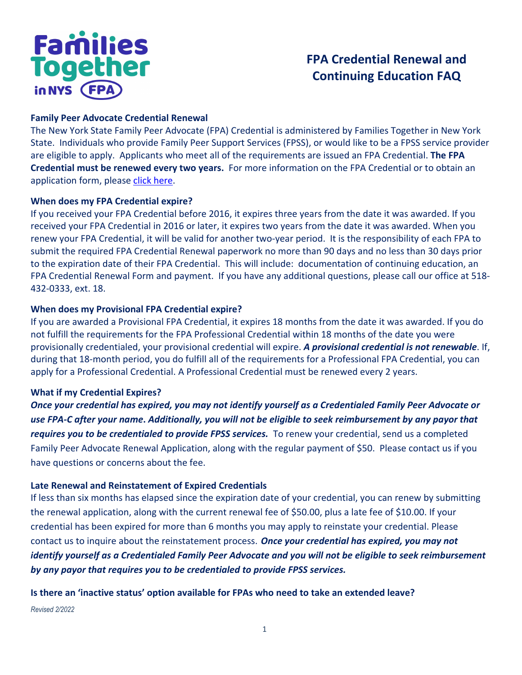# **Families**<br>Together in NYS (FPA

## **FPA Credential Renewal and Continuing Education FAQ**

## **Family Peer Advocate Credential Renewal**

The New York State Family Peer Advocate (FPA) Credential is administered by Families Together in New York State. Individuals who provide Family Peer Support Services (FPSS), or would like to be a FPSS service provider are eligible to apply. Applicants who meet all of the requirements are issued an FPA Credential. **The FPA Credential must be renewed every two years.** For more information on the FPA Credential or to obtain an application form, please [click here.](https://www.ftnys.org/training-credentialing/family-peer-advocate-credential/)

## **When does my FPA Credential expire?**

If you received your FPA Credential before 2016, it expires three years from the date it was awarded. If you received your FPA Credential in 2016 or later, it expires two years from the date it was awarded. When you renew your FPA Credential, it will be valid for another two-year period. It is the responsibility of each FPA to submit the required FPA Credential Renewal paperwork no more than 90 days and no less than 30 days prior to the expiration date of their FPA Credential. This will include: documentation of continuing education, an FPA Credential Renewal Form and payment. If you have any additional questions, please call our office at 518- 432-0333, ext. 18.

## **When does my Provisional FPA Credential expire?**

If you are awarded a Provisional FPA Credential, it expires 18 months from the date it was awarded. If you do not fulfill the requirements for the FPA Professional Credential within 18 months of the date you were provisionally credentialed, your provisional credential will expire. *A provisional credential is not renewable*. If, during that 18-month period, you do fulfill all of the requirements for a Professional FPA Credential, you can apply for a Professional Credential. A Professional Credential must be renewed every 2 years.

## **What if my Credential Expires?**

*Once your credential has expired, you may not identify yourself as a Credentialed Family Peer Advocate or use FPA-C after your name***.** *Additionally, you will not be eligible to seek reimbursement by any payor that requires you to be credentialed to provide FPSS services.* To renew your credential, send us a completed Family Peer Advocate Renewal Application, along with the regular payment of \$50. Please contact us if you have questions or concerns about the fee.

## **Late Renewal and Reinstatement of Expired Credentials**

If less than six months has elapsed since the expiration date of your credential, you can renew by submitting the renewal application, along with the current renewal fee of \$50.00, plus a late fee of \$10.00. If your credential has been expired for more than 6 months you may apply to reinstate your credential. Please contact us to inquire about the reinstatement process. *Once your credential has expired, you may not identify yourself as a Credentialed Family Peer Advocate and you will not be eligible to seek reimbursement by any payor that requires you to be credentialed to provide FPSS services.*

## **Is there an 'inactive status' option available for FPAs who need to take an extended leave?**

*Revised 2/2022*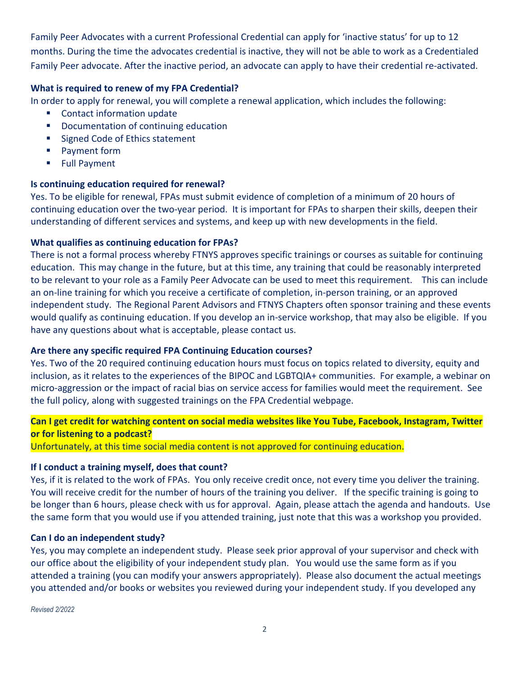Family Peer Advocates with a current Professional Credential can apply for 'inactive status' for up to 12 months. During the time the advocates credential is inactive, they will not be able to work as a Credentialed Family Peer advocate. After the inactive period, an advocate can apply to have their credential re-activated.

## **What is required to renew of my FPA Credential?**

In order to apply for renewal, you will complete a renewal application, which includes the following:

- **EXECONTER CONTACT Information update**
- **•** Documentation of continuing education
- Signed Code of Ethics statement
- **Payment form**
- Full Payment

## **Is continuing education required for renewal?**

Yes. To be eligible for renewal, FPAs must submit evidence of completion of a minimum of 20 hours of continuing education over the two-year period. It is important for FPAs to sharpen their skills, deepen their understanding of different services and systems, and keep up with new developments in the field.

## **What qualifies as continuing education for FPAs?**

There is not a formal process whereby FTNYS approves specific trainings or courses as suitable for continuing education. This may change in the future, but at this time, any training that could be reasonably interpreted to be relevant to your role as a Family Peer Advocate can be used to meet this requirement. This can include an on-line training for which you receive a certificate of completion, in-person training, or an approved independent study. The Regional Parent Advisors and FTNYS Chapters often sponsor training and these events would qualify as continuing education. If you develop an in-service workshop, that may also be eligible. If you have any questions about what is acceptable, please contact us.

## **Are there any specific required FPA Continuing Education courses?**

Yes. Two of the 20 required continuing education hours must focus on topics related to diversity, equity and inclusion, as it relates to the experiences of the BIPOC and LGBTQIA+ communities. For example, a webinar on micro-aggression or the impact of racial bias on service access for families would meet the requirement. See the full policy, along with suggested trainings on the FPA Credential webpage.

## **Can I get credit for watching content on social media websites like You Tube, Facebook, Instagram, Twitter or for listening to a podcast?**

Unfortunately, at this time social media content is not approved for continuing education.

## **If I conduct a training myself, does that count?**

Yes, if it is related to the work of FPAs. You only receive credit once, not every time you deliver the training. You will receive credit for the number of hours of the training you deliver. If the specific training is going to be longer than 6 hours, please check with us for approval. Again, please attach the agenda and handouts. Use the same form that you would use if you attended training, just note that this was a workshop you provided.

## **Can I do an independent study?**

Yes, you may complete an independent study. Please seek prior approval of your supervisor and check with our office about the eligibility of your independent study plan. You would use the same form as if you attended a training (you can modify your answers appropriately). Please also document the actual meetings you attended and/or books or websites you reviewed during your independent study. If you developed any

*Revised 2/2022*